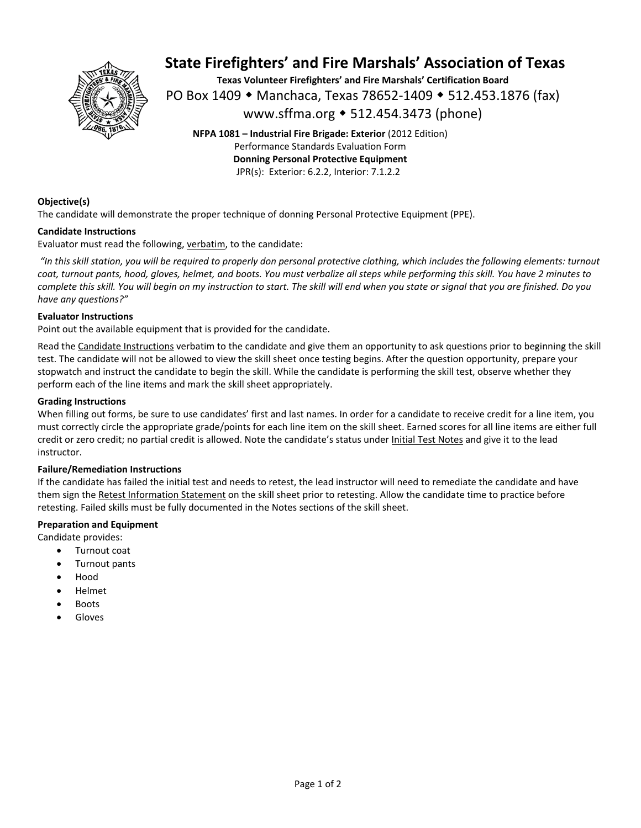

# **State Firefighters' and Fire Marshals' Association of Texas**

**Texas Volunteer Firefighters' and Fire Marshals' Certification Board**  PO Box 1409 ◆ Manchaca, Texas 78652-1409 ◆ 512.453.1876 (fax) www.sffma.org 512.454.3473 (phone)

**NFPA 1081 – Industrial Fire Brigade: Exterior** (2012 Edition) Performance Standards Evaluation Form **Donning Personal Protective Equipment**  JPR(s): Exterior: 6.2.2, Interior: 7.1.2.2

# **Objective(s)**

The candidate will demonstrate the proper technique of donning Personal Protective Equipment (PPE).

## **Candidate Instructions**

Evaluator must read the following, verbatim, to the candidate:

 *"In this skill station, you will be required to properly don personal protective clothing, which includes the following elements: turnout coat, turnout pants, hood, gloves, helmet, and boots. You must verbalize all steps while performing this skill. You have 2 minutes to complete this skill. You will begin on my instruction to start. The skill will end when you state or signal that you are finished. Do you have any questions?"* 

#### **Evaluator Instructions**

Point out the available equipment that is provided for the candidate.

Read the Candidate Instructions verbatim to the candidate and give them an opportunity to ask questions prior to beginning the skill test. The candidate will not be allowed to view the skill sheet once testing begins. After the question opportunity, prepare your stopwatch and instruct the candidate to begin the skill. While the candidate is performing the skill test, observe whether they perform each of the line items and mark the skill sheet appropriately.

#### **Grading Instructions**

When filling out forms, be sure to use candidates' first and last names. In order for a candidate to receive credit for a line item, you must correctly circle the appropriate grade/points for each line item on the skill sheet. Earned scores for all line items are either full credit or zero credit; no partial credit is allowed. Note the candidate's status under Initial Test Notes and give it to the lead instructor.

## **Failure/Remediation Instructions**

If the candidate has failed the initial test and needs to retest, the lead instructor will need to remediate the candidate and have them sign the Retest Information Statement on the skill sheet prior to retesting. Allow the candidate time to practice before retesting. Failed skills must be fully documented in the Notes sections of the skill sheet.

## **Preparation and Equipment**

Candidate provides:

- Turnout coat
- Turnout pants
- Hood
- Helmet
- Boots
- Gloves